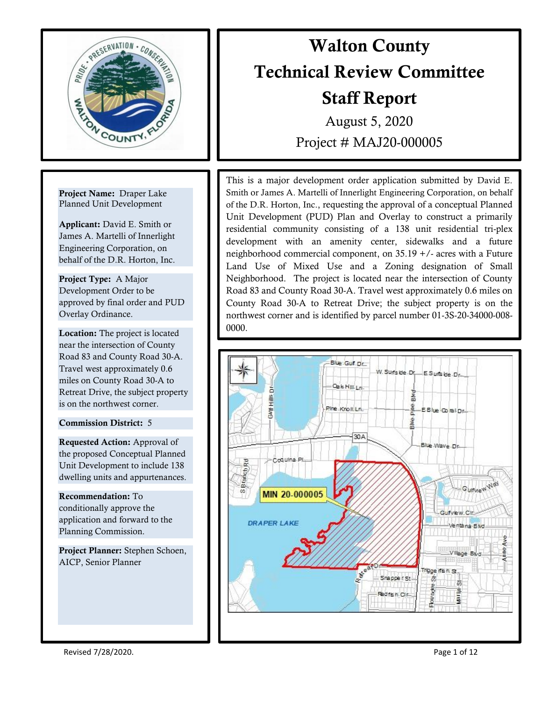

Project Name: Draper Lake Planned Unit Development

Applicant: David E. Smith or James A. Martelli of Innerlight Engineering Corporation, on behalf of the D.R. Horton, Inc.

Project Type: A Major Development Order to be approved by final order and PUD Overlay Ordinance.

I

Location: The project is located near the intersection of County Road 83 and County Road 30-A. Travel west approximately 0.6 miles on County Road 30-A to Retreat Drive, the subject property is on the northwest corner.

# Commission District: 5

Requested Action: Approval of the proposed Conceptual Planned Unit Development to include 138 dwelling units and appurtenances.

Recommendation: To conditionally approve the application and forward to the Planning Commission.

Project Planner: Stephen Schoen, AICP, Senior Planner

# Walton County Technical Review Committee Staff Report

August 5, 2020 Project # MAJ20-000005

Road 85 and County Road 50-A. Travel west approximately 0.0 limes on<br>County Road 30-A to Retreat Drive; the subject property is on the This is a major development order application submitted by David E. Smith or James A. Martelli of Innerlight Engineering Corporation, on behalf of the D.R. Horton, Inc., requesting the approval of a conceptual Planned Unit Development (PUD) Plan and Overlay to construct a primarily residential community consisting of a 138 unit residential tri-plex development with an amenity center, sidewalks and a future neighborhood commercial component, on 35.19 +/- acres with a Future Land Use of Mixed Use and a Zoning designation of Small Neighborhood. The project is located near the intersection of County Road 83 and County Road 30-A. Travel west approximately 0.6 miles on northwest corner and is identified by parcel number 01-3S-20-34000-008- 0000.

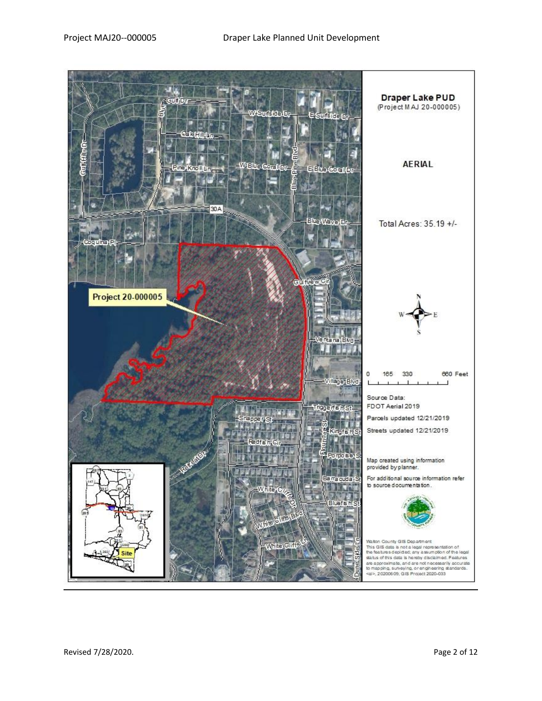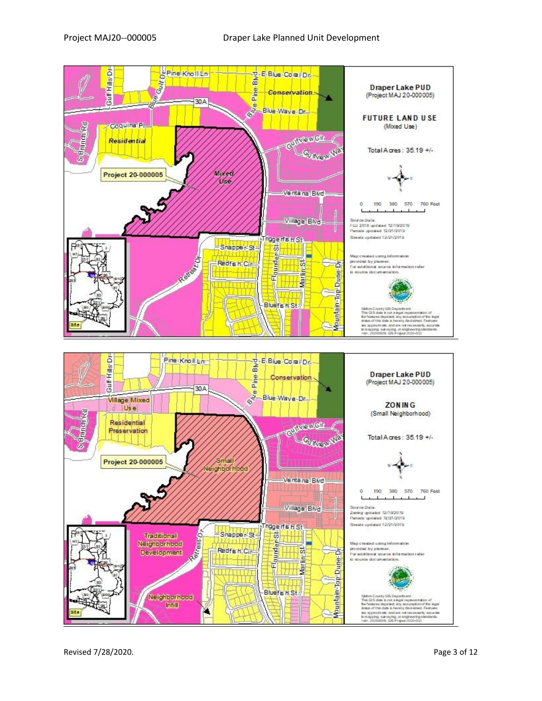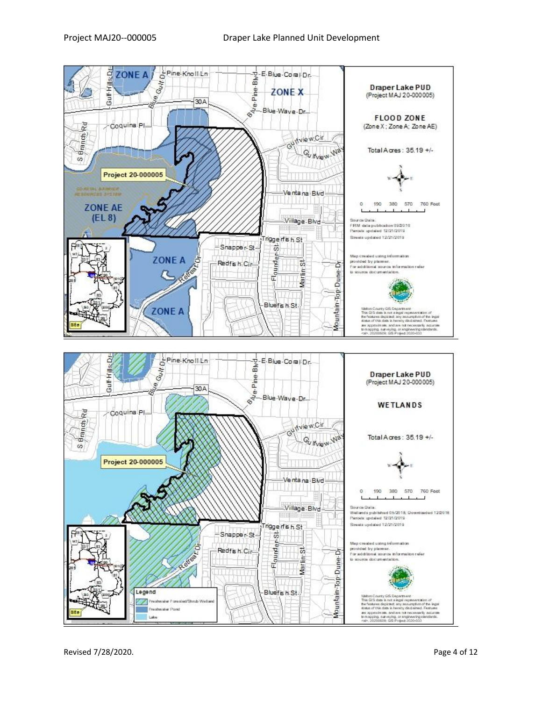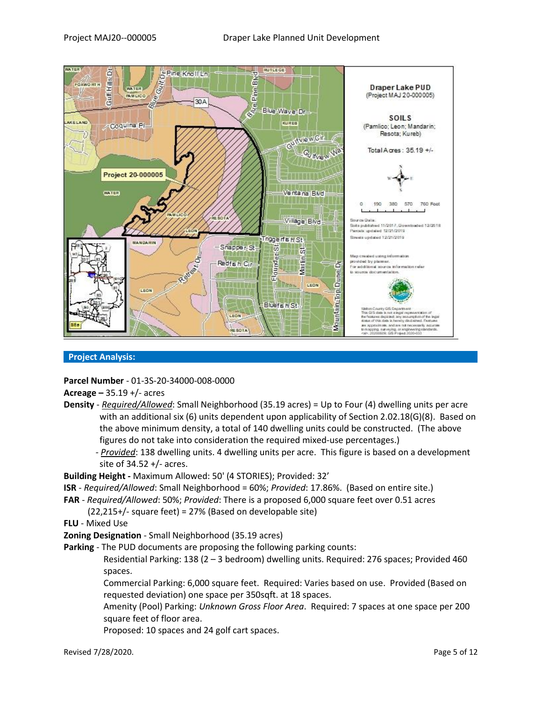

#### **Project Analysis:**

**Parcel Number** - 01-3S-20-34000-008-0000

**Acreage –** 35.19 +/- acres

- **Density** *Required/Allowed*: Small Neighborhood (35.19 acres) = Up to Four (4) dwelling units per acre with an additional six (6) units dependent upon applicability of Section 2.02.18(G)(8). Based on the above minimum density, a total of 140 dwelling units could be constructed. (The above figures do not take into consideration the required mixed-use percentages.)
	- *- Provided*: 138 dwelling units. 4 dwelling units per acre. This figure is based on a development site of 34.52 +/- acres.

**Building Height -** Maximum Allowed: 50' (4 STORIES); Provided: 32'

- **ISR** *Required/Allowed*: Small Neighborhood = 60%; *Provided*: 17.86%. (Based on entire site.)
- **FAR** *Required/Allowed*: 50%; *Provided*: There is a proposed 6,000 square feet over 0.51 acres (22,215+/- square feet) = 27% (Based on developable site)

**FLU** - Mixed Use

**Zoning Designation** - Small Neighborhood (35.19 acres)

**Parking** - The PUD documents are proposing the following parking counts:

Residential Parking: 138 (2 – 3 bedroom) dwelling units. Required: 276 spaces; Provided 460 spaces.

Commercial Parking: 6,000 square feet. Required: Varies based on use. Provided (Based on requested deviation) one space per 350sqft. at 18 spaces.

Amenity (Pool) Parking: *Unknown Gross Floor Area*. Required: 7 spaces at one space per 200 square feet of floor area.

Proposed: 10 spaces and 24 golf cart spaces.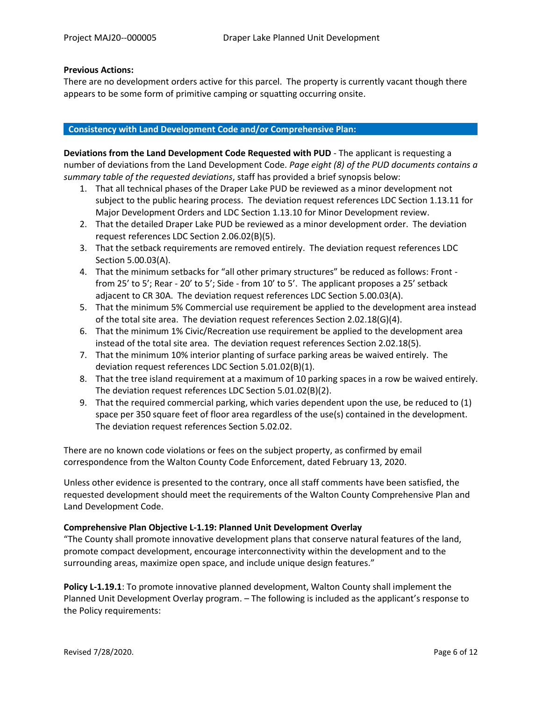#### **Previous Actions:**

There are no development orders active for this parcel. The property is currently vacant though there appears to be some form of primitive camping or squatting occurring onsite.

#### **Consistency with Land Development Code and/or Comprehensive Plan:**

**Deviations from the Land Development Code Requested with PUD** - The applicant is requesting a number of deviations from the Land Development Code. *Page eight (8) of the PUD documents contains a summary table of the requested deviations*, staff has provided a brief synopsis below:

- 1. That all technical phases of the Draper Lake PUD be reviewed as a minor development not subject to the public hearing process. The deviation request references LDC Section 1.13.11 for Major Development Orders and LDC Section 1.13.10 for Minor Development review.
- 2. That the detailed Draper Lake PUD be reviewed as a minor development order. The deviation request references LDC Section 2.06.02(B)(5).
- 3. That the setback requirements are removed entirely. The deviation request references LDC Section 5.00.03(A).
- 4. That the minimum setbacks for "all other primary structures" be reduced as follows: Front from 25' to 5'; Rear - 20' to 5'; Side - from 10' to 5'. The applicant proposes a 25' setback adjacent to CR 30A. The deviation request references LDC Section 5.00.03(A).
- 5. That the minimum 5% Commercial use requirement be applied to the development area instead of the total site area. The deviation request references Section 2.02.18(G)(4).
- 6. That the minimum 1% Civic/Recreation use requirement be applied to the development area instead of the total site area. The deviation request references Section 2.02.18(5).
- 7. That the minimum 10% interior planting of surface parking areas be waived entirely. The deviation request references LDC Section 5.01.02(B)(1).
- 8. That the tree island requirement at a maximum of 10 parking spaces in a row be waived entirely. The deviation request references LDC Section 5.01.02(B)(2).
- 9. That the required commercial parking, which varies dependent upon the use, be reduced to (1) space per 350 square feet of floor area regardless of the use(s) contained in the development. The deviation request references Section 5.02.02.

There are no known code violations or fees on the subject property, as confirmed by email correspondence from the Walton County Code Enforcement, dated February 13, 2020.

Unless other evidence is presented to the contrary, once all staff comments have been satisfied, the requested development should meet the requirements of the Walton County Comprehensive Plan and Land Development Code.

# **Comprehensive Plan Objective L-1.19: Planned Unit Development Overlay**

"The County shall promote innovative development plans that conserve natural features of the land, promote compact development, encourage interconnectivity within the development and to the surrounding areas, maximize open space, and include unique design features."

**Policy L-1.19.1**: To promote innovative planned development, Walton County shall implement the Planned Unit Development Overlay program. – The following is included as the applicant's response to the Policy requirements: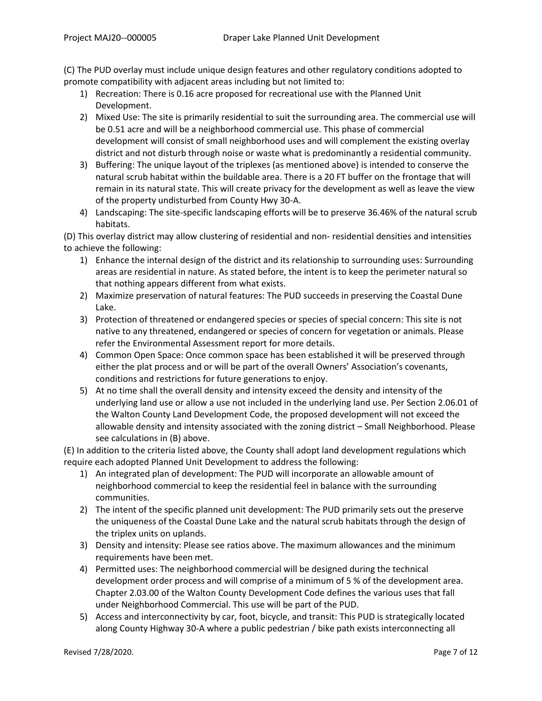(C) The PUD overlay must include unique design features and other regulatory conditions adopted to promote compatibility with adjacent areas including but not limited to:

- 1) Recreation: There is 0.16 acre proposed for recreational use with the Planned Unit Development.
- 2) Mixed Use: The site is primarily residential to suit the surrounding area. The commercial use will be 0.51 acre and will be a neighborhood commercial use. This phase of commercial development will consist of small neighborhood uses and will complement the existing overlay district and not disturb through noise or waste what is predominantly a residential community.
- 3) Buffering: The unique layout of the triplexes (as mentioned above) is intended to conserve the natural scrub habitat within the buildable area. There is a 20 FT buffer on the frontage that will remain in its natural state. This will create privacy for the development as well as leave the view of the property undisturbed from County Hwy 30-A.
- 4) Landscaping: The site-specific landscaping efforts will be to preserve 36.46% of the natural scrub habitats.

(D) This overlay district may allow clustering of residential and non- residential densities and intensities to achieve the following:

- 1) Enhance the internal design of the district and its relationship to surrounding uses: Surrounding areas are residential in nature. As stated before, the intent is to keep the perimeter natural so that nothing appears different from what exists.
- 2) Maximize preservation of natural features: The PUD succeeds in preserving the Coastal Dune Lake.
- 3) Protection of threatened or endangered species or species of special concern: This site is not native to any threatened, endangered or species of concern for vegetation or animals. Please refer the Environmental Assessment report for more details.
- 4) Common Open Space: Once common space has been established it will be preserved through either the plat process and or will be part of the overall Owners' Association's covenants, conditions and restrictions for future generations to enjoy.
- 5) At no time shall the overall density and intensity exceed the density and intensity of the underlying land use or allow a use not included in the underlying land use. Per Section 2.06.01 of the Walton County Land Development Code, the proposed development will not exceed the allowable density and intensity associated with the zoning district – Small Neighborhood. Please see calculations in (B) above.

(E) In addition to the criteria listed above, the County shall adopt land development regulations which require each adopted Planned Unit Development to address the following:

- 1) An integrated plan of development: The PUD will incorporate an allowable amount of neighborhood commercial to keep the residential feel in balance with the surrounding communities.
- 2) The intent of the specific planned unit development: The PUD primarily sets out the preserve the uniqueness of the Coastal Dune Lake and the natural scrub habitats through the design of the triplex units on uplands.
- 3) Density and intensity: Please see ratios above. The maximum allowances and the minimum requirements have been met.
- 4) Permitted uses: The neighborhood commercial will be designed during the technical development order process and will comprise of a minimum of 5 % of the development area. Chapter 2.03.00 of the Walton County Development Code defines the various uses that fall under Neighborhood Commercial. This use will be part of the PUD.
- 5) Access and interconnectivity by car, foot, bicycle, and transit: This PUD is strategically located along County Highway 30-A where a public pedestrian / bike path exists interconnecting all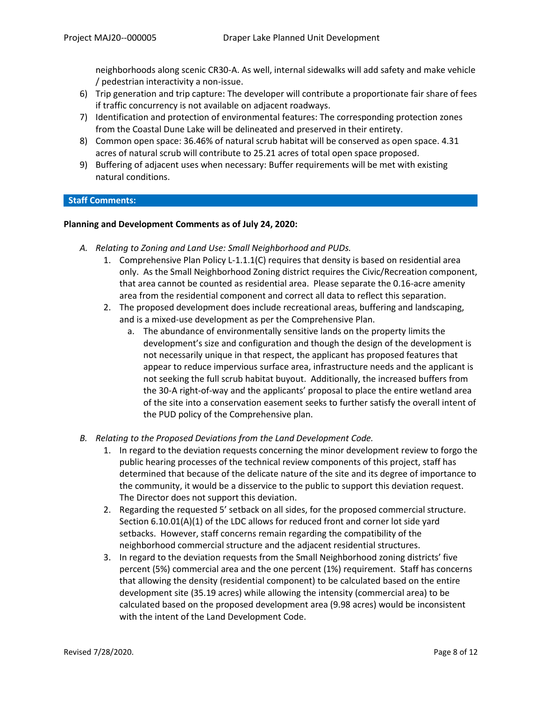neighborhoods along scenic CR30-A. As well, internal sidewalks will add safety and make vehicle / pedestrian interactivity a non-issue.

- 6) Trip generation and trip capture: The developer will contribute a proportionate fair share of fees if traffic concurrency is not available on adjacent roadways.
- 7) Identification and protection of environmental features: The corresponding protection zones from the Coastal Dune Lake will be delineated and preserved in their entirety.
- 8) Common open space: 36.46% of natural scrub habitat will be conserved as open space. 4.31 acres of natural scrub will contribute to 25.21 acres of total open space proposed.
- 9) Buffering of adjacent uses when necessary: Buffer requirements will be met with existing natural conditions.

# **Staff Comments:**

#### **Planning and Development Comments as of July 24, 2020:**

- *A. Relating to Zoning and Land Use: Small Neighborhood and PUDs.*
	- 1. Comprehensive Plan Policy L-1.1.1(C) requires that density is based on residential area only. As the Small Neighborhood Zoning district requires the Civic/Recreation component, that area cannot be counted as residential area. Please separate the 0.16-acre amenity area from the residential component and correct all data to reflect this separation.
	- 2. The proposed development does include recreational areas, buffering and landscaping, and is a mixed-use development as per the Comprehensive Plan.
		- a. The abundance of environmentally sensitive lands on the property limits the development's size and configuration and though the design of the development is not necessarily unique in that respect, the applicant has proposed features that appear to reduce impervious surface area, infrastructure needs and the applicant is not seeking the full scrub habitat buyout. Additionally, the increased buffers from the 30-A right-of-way and the applicants' proposal to place the entire wetland area of the site into a conservation easement seeks to further satisfy the overall intent of the PUD policy of the Comprehensive plan.
- *B. Relating to the Proposed Deviations from the Land Development Code.*
	- 1. In regard to the deviation requests concerning the minor development review to forgo the public hearing processes of the technical review components of this project, staff has determined that because of the delicate nature of the site and its degree of importance to the community, it would be a disservice to the public to support this deviation request. The Director does not support this deviation.
	- 2. Regarding the requested 5' setback on all sides, for the proposed commercial structure. Section 6.10.01(A)(1) of the LDC allows for reduced front and corner lot side yard setbacks. However, staff concerns remain regarding the compatibility of the neighborhood commercial structure and the adjacent residential structures.
	- 3. In regard to the deviation requests from the Small Neighborhood zoning districts' five percent (5%) commercial area and the one percent (1%) requirement. Staff has concerns that allowing the density (residential component) to be calculated based on the entire development site (35.19 acres) while allowing the intensity (commercial area) to be calculated based on the proposed development area (9.98 acres) would be inconsistent with the intent of the Land Development Code.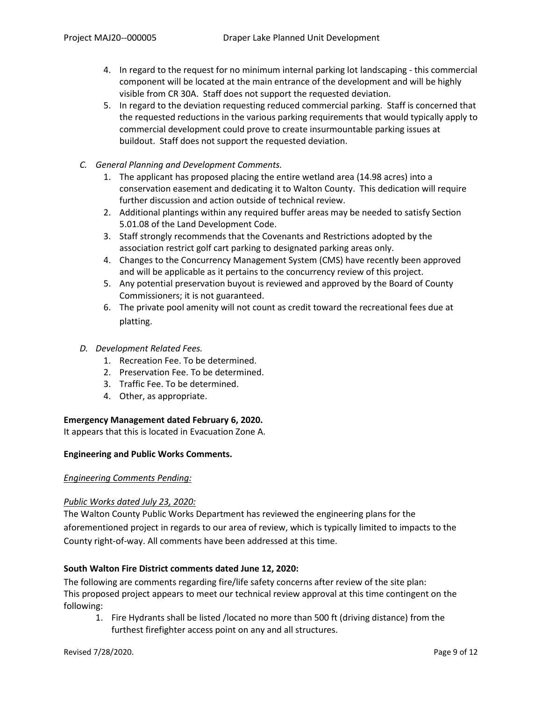- 4. In regard to the request for no minimum internal parking lot landscaping this commercial component will be located at the main entrance of the development and will be highly visible from CR 30A. Staff does not support the requested deviation.
- 5. In regard to the deviation requesting reduced commercial parking. Staff is concerned that the requested reductions in the various parking requirements that would typically apply to commercial development could prove to create insurmountable parking issues at buildout. Staff does not support the requested deviation.
- *C. General Planning and Development Comments.*
	- 1. The applicant has proposed placing the entire wetland area (14.98 acres) into a conservation easement and dedicating it to Walton County. This dedication will require further discussion and action outside of technical review.
	- 2. Additional plantings within any required buffer areas may be needed to satisfy Section 5.01.08 of the Land Development Code.
	- 3. Staff strongly recommends that the Covenants and Restrictions adopted by the association restrict golf cart parking to designated parking areas only.
	- 4. Changes to the Concurrency Management System (CMS) have recently been approved and will be applicable as it pertains to the concurrency review of this project.
	- 5. Any potential preservation buyout is reviewed and approved by the Board of County Commissioners; it is not guaranteed.
	- 6. The private pool amenity will not count as credit toward the recreational fees due at platting.
- *D. Development Related Fees.*
	- 1. Recreation Fee. To be determined.
	- 2. Preservation Fee. To be determined.
	- 3. Traffic Fee. To be determined.
	- 4. Other, as appropriate.

# **Emergency Management dated February 6, 2020.**

It appears that this is located in Evacuation Zone A.

#### **Engineering and Public Works Comments.**

#### *Engineering Comments Pending:*

# *Public Works dated July 23, 2020:*

The Walton County Public Works Department has reviewed the engineering plans for the aforementioned project in regards to our area of review, which is typically limited to impacts to the County right-of-way. All comments have been addressed at this time.

# **South Walton Fire District comments dated June 12, 2020:**

The following are comments regarding fire/life safety concerns after review of the site plan: This proposed project appears to meet our technical review approval at this time contingent on the following:

1. Fire Hydrants shall be listed /located no more than 500 ft (driving distance) from the furthest firefighter access point on any and all structures.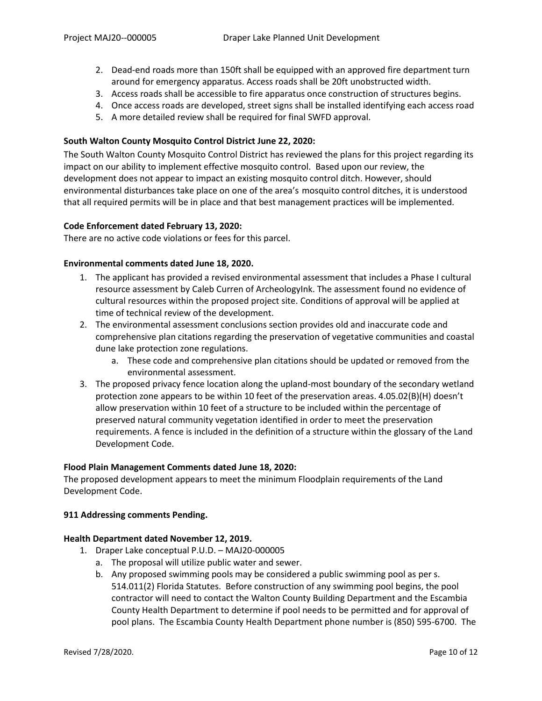- 2. Dead-end roads more than 150ft shall be equipped with an approved fire department turn around for emergency apparatus. Access roads shall be 20ft unobstructed width.
- 3. Access roads shall be accessible to fire apparatus once construction of structures begins.
- 4. Once access roads are developed, street signs shall be installed identifying each access road
- 5. A more detailed review shall be required for final SWFD approval.

# **South Walton County Mosquito Control District June 22, 2020:**

The South Walton County Mosquito Control District has reviewed the plans for this project regarding its impact on our ability to implement effective mosquito control. Based upon our review, the development does not appear to impact an existing mosquito control ditch. However, should environmental disturbances take place on one of the area's mosquito control ditches, it is understood that all required permits will be in place and that best management practices will be implemented.

# **Code Enforcement dated February 13, 2020:**

There are no active code violations or fees for this parcel.

#### **Environmental comments dated June 18, 2020.**

- 1. The applicant has provided a revised environmental assessment that includes a Phase I cultural resource assessment by Caleb Curren of ArcheologyInk. The assessment found no evidence of cultural resources within the proposed project site. Conditions of approval will be applied at time of technical review of the development.
- 2. The environmental assessment conclusions section provides old and inaccurate code and comprehensive plan citations regarding the preservation of vegetative communities and coastal dune lake protection zone regulations.
	- a. These code and comprehensive plan citations should be updated or removed from the environmental assessment.
- 3. The proposed privacy fence location along the upland-most boundary of the secondary wetland protection zone appears to be within 10 feet of the preservation areas. 4.05.02(B)(H) doesn't allow preservation within 10 feet of a structure to be included within the percentage of preserved natural community vegetation identified in order to meet the preservation requirements. A fence is included in the definition of a structure within the glossary of the Land Development Code.

# **Flood Plain Management Comments dated June 18, 2020:**

The proposed development appears to meet the minimum Floodplain requirements of the Land Development Code.

#### **911 Addressing comments Pending.**

#### **Health Department dated November 12, 2019.**

- 1. Draper Lake conceptual P.U.D. MAJ20-000005
	- a. The proposal will utilize public water and sewer.
	- b. Any proposed swimming pools may be considered a public swimming pool as per s. 514.011(2) Florida Statutes. Before construction of any swimming pool begins, the pool contractor will need to contact the Walton County Building Department and the Escambia County Health Department to determine if pool needs to be permitted and for approval of pool plans. The Escambia County Health Department phone number is (850) 595-6700. The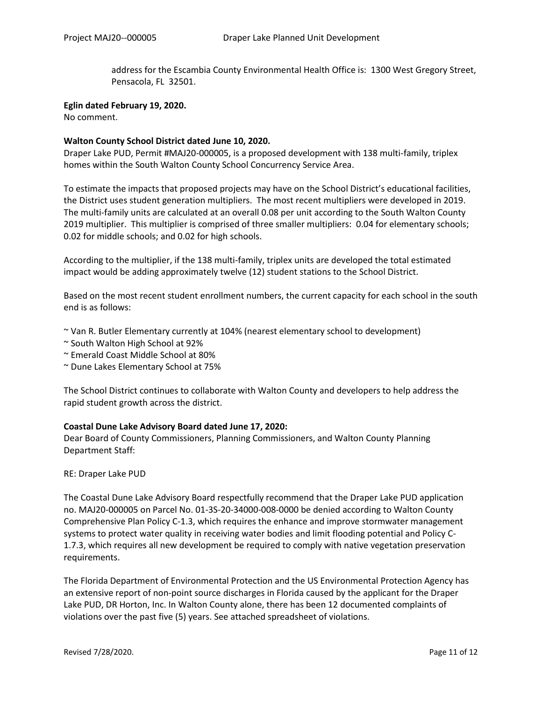address for the Escambia County Environmental Health Office is: 1300 West Gregory Street, Pensacola, FL 32501.

**Eglin dated February 19, 2020.**

No comment.

#### **Walton County School District dated June 10, 2020.**

Draper Lake PUD, Permit #MAJ20-000005, is a proposed development with 138 multi-family, triplex homes within the South Walton County School Concurrency Service Area.

To estimate the impacts that proposed projects may have on the School District's educational facilities, the District uses student generation multipliers. The most recent multipliers were developed in 2019. The multi-family units are calculated at an overall 0.08 per unit according to the South Walton County 2019 multiplier. This multiplier is comprised of three smaller multipliers: 0.04 for elementary schools; 0.02 for middle schools; and 0.02 for high schools.

According to the multiplier, if the 138 multi-family, triplex units are developed the total estimated impact would be adding approximately twelve (12) student stations to the School District.

Based on the most recent student enrollment numbers, the current capacity for each school in the south end is as follows:

~ Van R. Butler Elementary currently at 104% (nearest elementary school to development)

- ~ South Walton High School at 92%
- ~ Emerald Coast Middle School at 80%
- ~ Dune Lakes Elementary School at 75%

The School District continues to collaborate with Walton County and developers to help address the rapid student growth across the district.

#### **Coastal Dune Lake Advisory Board dated June 17, 2020:**

Dear Board of County Commissioners, Planning Commissioners, and Walton County Planning Department Staff:

RE: Draper Lake PUD

The Coastal Dune Lake Advisory Board respectfully recommend that the Draper Lake PUD application no. MAJ20-000005 on Parcel No. 01-3S-20-34000-008-0000 be denied according to Walton County Comprehensive Plan Policy C-1.3, which requires the enhance and improve stormwater management systems to protect water quality in receiving water bodies and limit flooding potential and Policy C-1.7.3, which requires all new development be required to comply with native vegetation preservation requirements.

The Florida Department of Environmental Protection and the US Environmental Protection Agency has an extensive report of non-point source discharges in Florida caused by the applicant for the Draper Lake PUD, DR Horton, Inc. In Walton County alone, there has been 12 documented complaints of violations over the past five (5) years. See attached spreadsheet of violations.